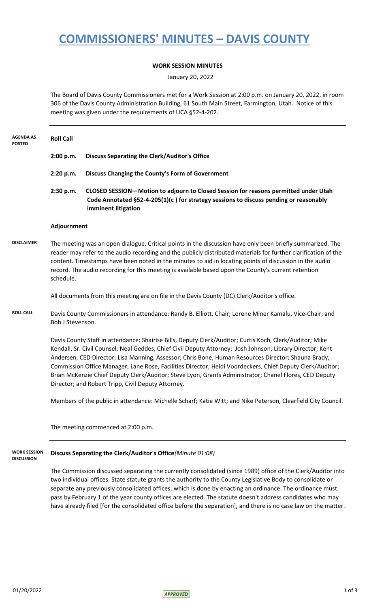## **COMMISSIONERS' MINUTES – DAVIS COUNTY**

### **WORK SESSION MINUTES**

January 20, 2022

The Board of Davis County Commissioners met for a Work Session at 2:00 p.m. on January 20, 2022, in room 306 of the Davis County Administration Building, 61 South Main Street, Farmington, Utah. Notice of this meeting was given under the requirements of UCA §52-4-202.

| <b>AGENDA AS</b><br><b>POSTED</b>        | <b>Roll Call</b>                                                                                                                                                                                                                                                                                                                                                                                                                                             |                                                                                                                                                                                                                                                                                                                                                                                                                                                                                                                                                                                                            |  |
|------------------------------------------|--------------------------------------------------------------------------------------------------------------------------------------------------------------------------------------------------------------------------------------------------------------------------------------------------------------------------------------------------------------------------------------------------------------------------------------------------------------|------------------------------------------------------------------------------------------------------------------------------------------------------------------------------------------------------------------------------------------------------------------------------------------------------------------------------------------------------------------------------------------------------------------------------------------------------------------------------------------------------------------------------------------------------------------------------------------------------------|--|
|                                          | 2:00 p.m.                                                                                                                                                                                                                                                                                                                                                                                                                                                    | <b>Discuss Separating the Clerk/Auditor's Office</b>                                                                                                                                                                                                                                                                                                                                                                                                                                                                                                                                                       |  |
|                                          | 2:20 p.m.                                                                                                                                                                                                                                                                                                                                                                                                                                                    | Discuss Changing the County's Form of Government                                                                                                                                                                                                                                                                                                                                                                                                                                                                                                                                                           |  |
|                                          | 2:30 p.m.                                                                                                                                                                                                                                                                                                                                                                                                                                                    | CLOSED SESSION-Motion to adjourn to Closed Session for reasons permitted under Utah<br>Code Annotated §52-4-205(1)(c) for strategy sessions to discuss pending or reasonably<br>imminent litigation                                                                                                                                                                                                                                                                                                                                                                                                        |  |
|                                          | Adjournment                                                                                                                                                                                                                                                                                                                                                                                                                                                  |                                                                                                                                                                                                                                                                                                                                                                                                                                                                                                                                                                                                            |  |
| <b>DISCLAIMER</b>                        | The meeting was an open dialogue. Critical points in the discussion have only been briefly summarized. The<br>reader may refer to the audio recording and the publicly distributed materials for further clarification of the<br>content. Timestamps have been noted in the minutes to aid in locating points of discussion in the audio<br>record. The audio recording for this meeting is available based upon the County's current retention<br>schedule. |                                                                                                                                                                                                                                                                                                                                                                                                                                                                                                                                                                                                            |  |
|                                          |                                                                                                                                                                                                                                                                                                                                                                                                                                                              | All documents from this meeting are on file in the Davis County (DC) Clerk/Auditor's office.                                                                                                                                                                                                                                                                                                                                                                                                                                                                                                               |  |
| <b>ROLL CALL</b>                         | Davis County Commissioners in attendance: Randy B. Elliott, Chair; Lorene Miner Kamalu, Vice-Chair; and<br>Bob J Stevenson.                                                                                                                                                                                                                                                                                                                                  |                                                                                                                                                                                                                                                                                                                                                                                                                                                                                                                                                                                                            |  |
|                                          |                                                                                                                                                                                                                                                                                                                                                                                                                                                              | Davis County Staff in attendance: Shairise Bills, Deputy Clerk/Auditor; Curtis Koch, Clerk/Auditor; Mike<br>Kendall, Sr. Civil Counsel; Neal Geddes, Chief Civil Deputy Attorney; Josh Johnson, Library Director; Kent<br>Andersen, CED Director; Lisa Manning, Assessor; Chris Bone, Human Resources Director; Shauna Brady,<br>Commission Office Manager; Lane Rose, Facilities Director; Heidi Voordeckers, Chief Deputy Clerk/Auditor;<br>Brian McKenzie Chief Deputy Clerk/Auditor; Steve Lyon, Grants Administrator; Chanel Flores, CED Deputy<br>Director; and Robert Tripp, Civil Deputy Attorney. |  |
|                                          |                                                                                                                                                                                                                                                                                                                                                                                                                                                              | Members of the public in attendance: Michelle Scharf; Katie Witt; and Nike Peterson, Clearfield City Council.                                                                                                                                                                                                                                                                                                                                                                                                                                                                                              |  |
|                                          |                                                                                                                                                                                                                                                                                                                                                                                                                                                              | The meeting commenced at 2:00 p.m.                                                                                                                                                                                                                                                                                                                                                                                                                                                                                                                                                                         |  |
| <b>WORK SESSION</b><br><b>DISCUSSION</b> | Discuss Separating the Clerk/Auditor's Office(Minute 01:08)                                                                                                                                                                                                                                                                                                                                                                                                  |                                                                                                                                                                                                                                                                                                                                                                                                                                                                                                                                                                                                            |  |
|                                          |                                                                                                                                                                                                                                                                                                                                                                                                                                                              | The Commission discussed separating the currently consolidated (since 1989) office of the Clerk/Auditor into<br>two individual offices. State statute grants the authority to the County Legislative Body to consolidate or                                                                                                                                                                                                                                                                                                                                                                                |  |

two individual offices. State statute grants the authority to the County Legislative Body to consoli separate any previously consolidated offices, which is done by enacting an ordinance. The ordinance must pass by February 1 of the year county offices are elected. The statute doesn't address candidates who may have already filed [for the consolidated office before the separation], and there is no case law on the matter.

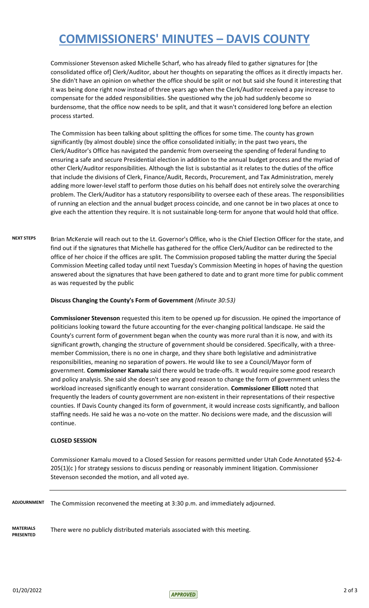## **COMMISSIONERS' MINUTES – DAVIS COUNTY**

Commissioner Stevenson asked Michelle Scharf, who has already filed to gather signatures for [the consolidated office of] Clerk/Auditor, about her thoughts on separating the offices as it directly impacts her. She didn't have an opinion on whether the office should be split or not but said she found it interesting that it was being done right now instead of three years ago when the Clerk/Auditor received a pay increase to compensate for the added responsibilities. She questioned why the job had suddenly become so burdensome, that the office now needs to be split, and that it wasn't considered long before an election process started.

The Commission has been talking about splitting the offices for some time. The county has grown significantly (by almost double) since the office consolidated initially; in the past two years, the Clerk/Auditor's Office has navigated the pandemic from overseeing the spending of federal funding to ensuring a safe and secure Presidential election in addition to the annual budget process and the myriad of other Clerk/Auditor responsibilities. Although the list is substantial as it relates to the duties of the office that include the divisions of Clerk, Finance/Audit, Records, Procurement, and Tax Administration, merely adding more lower-level staff to perform those duties on his behalf does not entirely solve the overarching problem. The Clerk/Auditor has a statutory responsibility to oversee each of these areas. The responsibilities of running an election and the annual budget process coincide, and one cannot be in two places at once to give each the attention they require. It is not sustainable long-term for anyone that would hold that office.

NEXT STEPS Brian McKenzie will reach out to the Lt. Governor's Office, who is the Chief Election Officer for the state, and find out if the signatures that Michelle has gathered for the office Clerk/Auditor can be redirected to the office of her choice if the offices are split. The Commission proposed tabling the matter during the Special Commission Meeting called today until next Tuesday's Commission Meeting in hopes of having the question answered about the signatures that have been gathered to date and to grant more time for public comment as was requested by the public

#### **Discuss Changing the County's Form of Government** *(Minute 30:53)*

**Commissioner Stevenson** requested this item to be opened up for discussion. He opined the importance of politicians looking toward the future accounting for the ever-changing political landscape. He said the County's current form of government began when the county was more rural than it is now, and with its significant growth, changing the structure of government should be considered. Specifically, with a threemember Commission, there is no one in charge, and they share both legislative and administrative responsibilities, meaning no separation of powers. He would like to see a Council/Mayor form of government. **Commissioner Kamalu** said there would be trade-offs. It would require some good research and policy analysis. She said she doesn't see any good reason to change the form of government unless the workload increased significantly enough to warrant consideration. **Commissioner Elliott** noted that frequently the leaders of county government are non-existent in their representations of their respective counties. If Davis County changed its form of government, it would increase costs significantly, and balloon staffing needs. He said he was a no-vote on the matter. No decisions were made, and the discussion will continue.

#### **CLOSED SESSION**

Commissioner Kamalu moved to a Closed Session for reasons permitted under Utah Code Annotated §52-4- 205(1)(c) for strategy sessions to discuss pending or reasonably imminent litigation. Commissioner Stevenson seconded the motion, and all voted aye.

The Commission reconvened the meeting at 3:30 p.m. and immediately adjourned. **ADJOURNMENT**

**MATERIALS PRESENTED** There were no publicly distributed materials associated with this meeting.